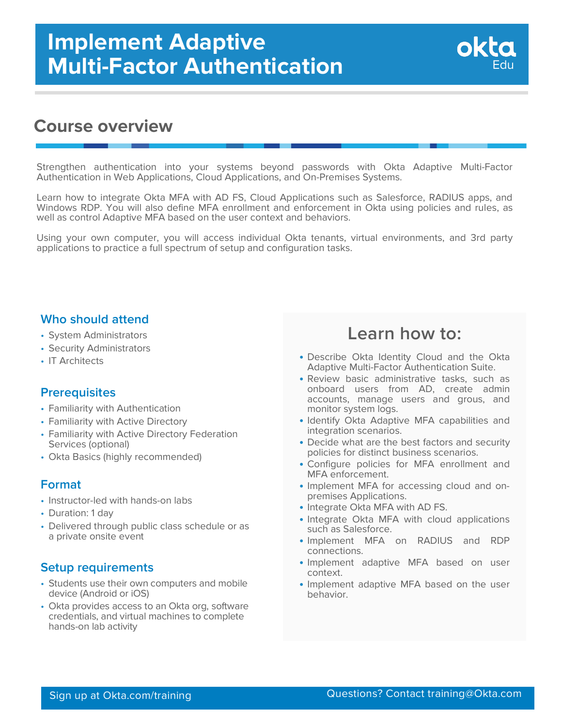## **Course overview**

Strengthen authentication into your systems beyond passwords with Okta Adaptive Multi-Factor Authentication in Web Applications, Cloud Applications, and On-Premises Systems.

Learn how to integrate Okta MFA with AD FS, Cloud Applications such as Salesforce, RADIUS apps, and Windows RDP. You will also define MFA enrollment and enforcement in Okta using policies and rules, as well as control Adaptive MFA based on the user context and behaviors.

Using your own computer, you will access individual Okta tenants, virtual environments, and 3rd party applications to practice a full spectrum of setup and configuration tasks.

### **Who should attend**

- System Administrators
- Security Administrators
- IT Architects

### **Prerequisites**

- Familiarity with Authentication
- Familiarity with Active Directory
- Familiarity with Active Directory Federation Services (optional)
- Okta Basics (highly recommended)

### **Format**

- Instructor-led with hands-on labs
- Duration: 1 day
- Delivered through public class schedule or as a private onsite event

### **Setup requirements**

- Students use their own computers and mobile device (Android or iOS)
- Okta provides access to an Okta org, software credentials, and virtual machines to complete hands-on lab activity

## **Learn how to:**

Edu

okt

- Describe Okta Identity Cloud and the Okta Adaptive Multi-Factor Authentication Suite.
- Review basic administrative tasks, such as onboard users from AD, create admin accounts, manage users and grous, and monitor system logs.
- Identify Okta Adaptive MFA capabilities and integration scenarios.
- Decide what are the best factors and security policies for distinct business scenarios.
- Configure policies for MFA enrollment and MFA enforcement.
- Implement MFA for accessing cloud and on- premises Applications.
- Integrate Okta MFA with AD FS.
- Integrate Okta MFA with cloud applications such as Salesforce.
- Implement MFA on RADIUS and RDP connections.
- Implement adaptive MFA based on user context.
- Implement adaptive MFA based on the user behavior.